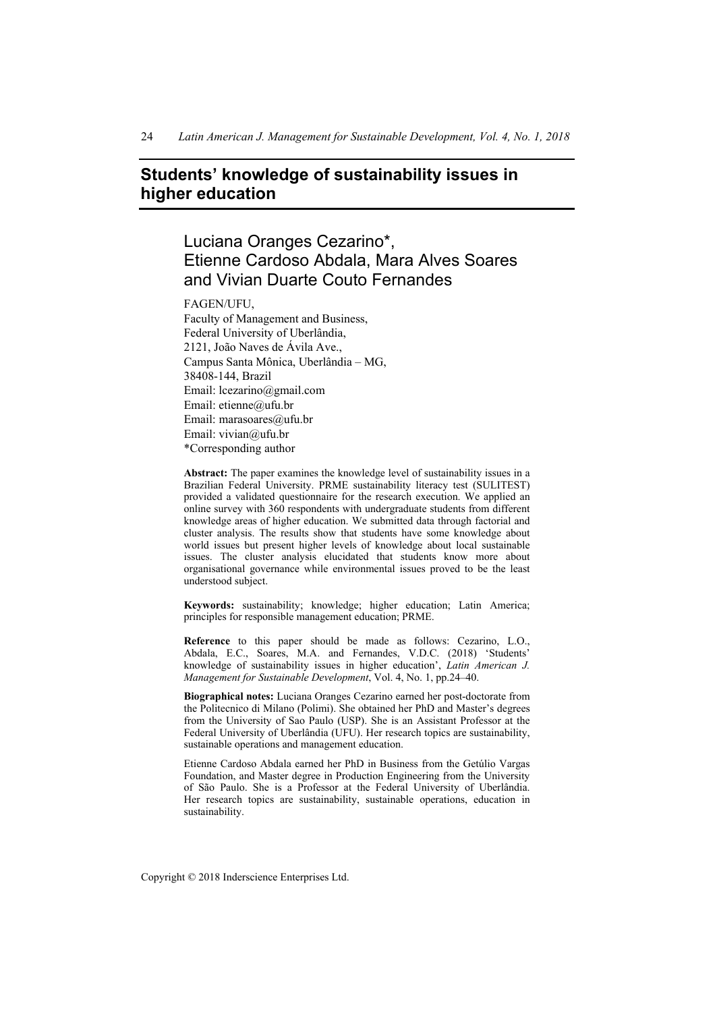# **Students' knowledge of sustainability issues in higher education**

# Luciana Oranges Cezarino\*, Etienne Cardoso Abdala, Mara Alves Soares and Vivian Duarte Couto Fernandes

FAGEN/UFU,

Faculty of Management and Business, Federal University of Uberlândia, 2121, João Naves de Ávila Ave., Campus Santa Mônica, Uberlândia – MG, 38408-144, Brazil Email: lcezarino@gmail.com Email: etienne@ufu.br Email: marasoares@ufu.br Email: vivian@ufu.br \*Corresponding author

**Abstract:** The paper examines the knowledge level of sustainability issues in a Brazilian Federal University. PRME sustainability literacy test (SULITEST) provided a validated questionnaire for the research execution. We applied an online survey with 360 respondents with undergraduate students from different knowledge areas of higher education. We submitted data through factorial and cluster analysis. The results show that students have some knowledge about world issues but present higher levels of knowledge about local sustainable issues. The cluster analysis elucidated that students know more about organisational governance while environmental issues proved to be the least understood subject.

**Keywords:** sustainability; knowledge; higher education; Latin America; principles for responsible management education; PRME.

**Reference** to this paper should be made as follows: Cezarino, L.O., Abdala, E.C., Soares, M.A. and Fernandes, V.D.C. (2018) 'Students' knowledge of sustainability issues in higher education', *Latin American J. Management for Sustainable Development*, Vol. 4, No. 1, pp.24–40.

**Biographical notes:** Luciana Oranges Cezarino earned her post-doctorate from the Politecnico di Milano (Polimi). She obtained her PhD and Master's degrees from the University of Sao Paulo (USP). She is an Assistant Professor at the Federal University of Uberlândia (UFU). Her research topics are sustainability, sustainable operations and management education.

Etienne Cardoso Abdala earned her PhD in Business from the Getúlio Vargas Foundation, and Master degree in Production Engineering from the University of São Paulo. She is a Professor at the Federal University of Uberlândia. Her research topics are sustainability, sustainable operations, education in sustainability.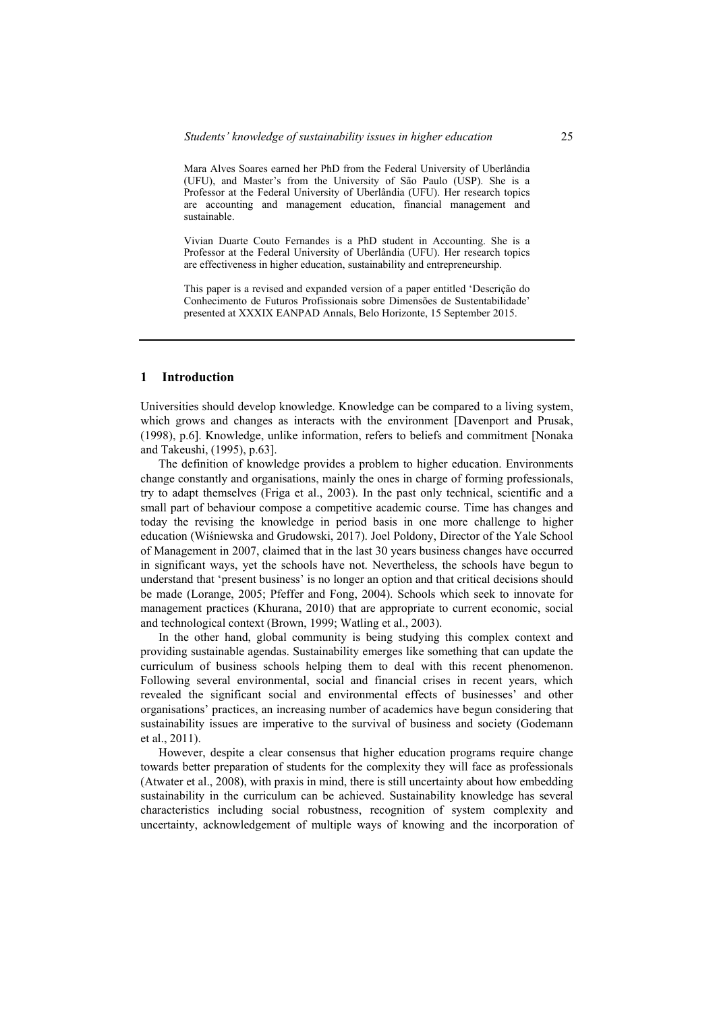Mara Alves Soares earned her PhD from the Federal University of Uberlândia (UFU), and Master's from the University of São Paulo (USP). She is a Professor at the Federal University of Uberlândia (UFU). Her research topics are accounting and management education, financial management and sustainable.

Vivian Duarte Couto Fernandes is a PhD student in Accounting. She is a Professor at the Federal University of Uberlândia (UFU). Her research topics are effectiveness in higher education, sustainability and entrepreneurship.

This paper is a revised and expanded version of a paper entitled 'Descrição do Conhecimento de Futuros Profissionais sobre Dimensões de Sustentabilidade' presented at XXXIX EANPAD Annals, Belo Horizonte, 15 September 2015.

### **1 Introduction**

Universities should develop knowledge. Knowledge can be compared to a living system, which grows and changes as interacts with the environment [Davenport and Prusak, (1998), p.6]. Knowledge, unlike information, refers to beliefs and commitment [Nonaka and Takeushi, (1995), p.63].

The definition of knowledge provides a problem to higher education. Environments change constantly and organisations, mainly the ones in charge of forming professionals, try to adapt themselves (Friga et al., 2003). In the past only technical, scientific and a small part of behaviour compose a competitive academic course. Time has changes and today the revising the knowledge in period basis in one more challenge to higher education (Wiśniewska and Grudowski, 2017). Joel Poldony, Director of the Yale School of Management in 2007, claimed that in the last 30 years business changes have occurred in significant ways, yet the schools have not. Nevertheless, the schools have begun to understand that 'present business' is no longer an option and that critical decisions should be made (Lorange, 2005; Pfeffer and Fong, 2004). Schools which seek to innovate for management practices (Khurana, 2010) that are appropriate to current economic, social and technological context (Brown, 1999; Watling et al., 2003).

In the other hand, global community is being studying this complex context and providing sustainable agendas. Sustainability emerges like something that can update the curriculum of business schools helping them to deal with this recent phenomenon. Following several environmental, social and financial crises in recent years, which revealed the significant social and environmental effects of businesses' and other organisations' practices, an increasing number of academics have begun considering that sustainability issues are imperative to the survival of business and society (Godemann et al., 2011).

However, despite a clear consensus that higher education programs require change towards better preparation of students for the complexity they will face as professionals (Atwater et al., 2008), with praxis in mind, there is still uncertainty about how embedding sustainability in the curriculum can be achieved. Sustainability knowledge has several characteristics including social robustness, recognition of system complexity and uncertainty, acknowledgement of multiple ways of knowing and the incorporation of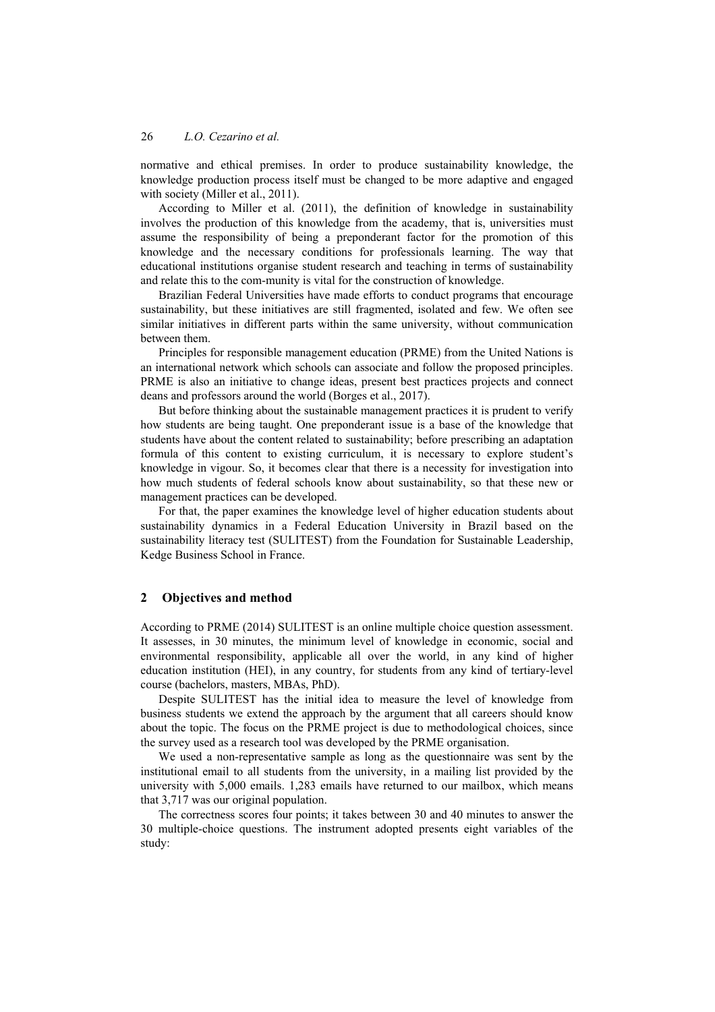normative and ethical premises. In order to produce sustainability knowledge, the knowledge production process itself must be changed to be more adaptive and engaged with society (Miller et al., 2011).

According to Miller et al. (2011), the definition of knowledge in sustainability involves the production of this knowledge from the academy, that is, universities must assume the responsibility of being a preponderant factor for the promotion of this knowledge and the necessary conditions for professionals learning. The way that educational institutions organise student research and teaching in terms of sustainability and relate this to the com-munity is vital for the construction of knowledge.

Brazilian Federal Universities have made efforts to conduct programs that encourage sustainability, but these initiatives are still fragmented, isolated and few. We often see similar initiatives in different parts within the same university, without communication between them.

Principles for responsible management education (PRME) from the United Nations is an international network which schools can associate and follow the proposed principles. PRME is also an initiative to change ideas, present best practices projects and connect deans and professors around the world (Borges et al., 2017).

But before thinking about the sustainable management practices it is prudent to verify how students are being taught. One preponderant issue is a base of the knowledge that students have about the content related to sustainability; before prescribing an adaptation formula of this content to existing curriculum, it is necessary to explore student's knowledge in vigour. So, it becomes clear that there is a necessity for investigation into how much students of federal schools know about sustainability, so that these new or management practices can be developed.

For that, the paper examines the knowledge level of higher education students about sustainability dynamics in a Federal Education University in Brazil based on the sustainability literacy test (SULITEST) from the Foundation for Sustainable Leadership, Kedge Business School in France.

## **2 Objectives and method**

According to PRME (2014) SULITEST is an online multiple choice question assessment. It assesses, in 30 minutes, the minimum level of knowledge in economic, social and environmental responsibility, applicable all over the world, in any kind of higher education institution (HEI), in any country, for students from any kind of tertiary-level course (bachelors, masters, MBAs, PhD).

Despite SULITEST has the initial idea to measure the level of knowledge from business students we extend the approach by the argument that all careers should know about the topic. The focus on the PRME project is due to methodological choices, since the survey used as a research tool was developed by the PRME organisation.

We used a non-representative sample as long as the questionnaire was sent by the institutional email to all students from the university, in a mailing list provided by the university with 5,000 emails. 1,283 emails have returned to our mailbox, which means that 3,717 was our original population.

The correctness scores four points; it takes between 30 and 40 minutes to answer the 30 multiple-choice questions. The instrument adopted presents eight variables of the study: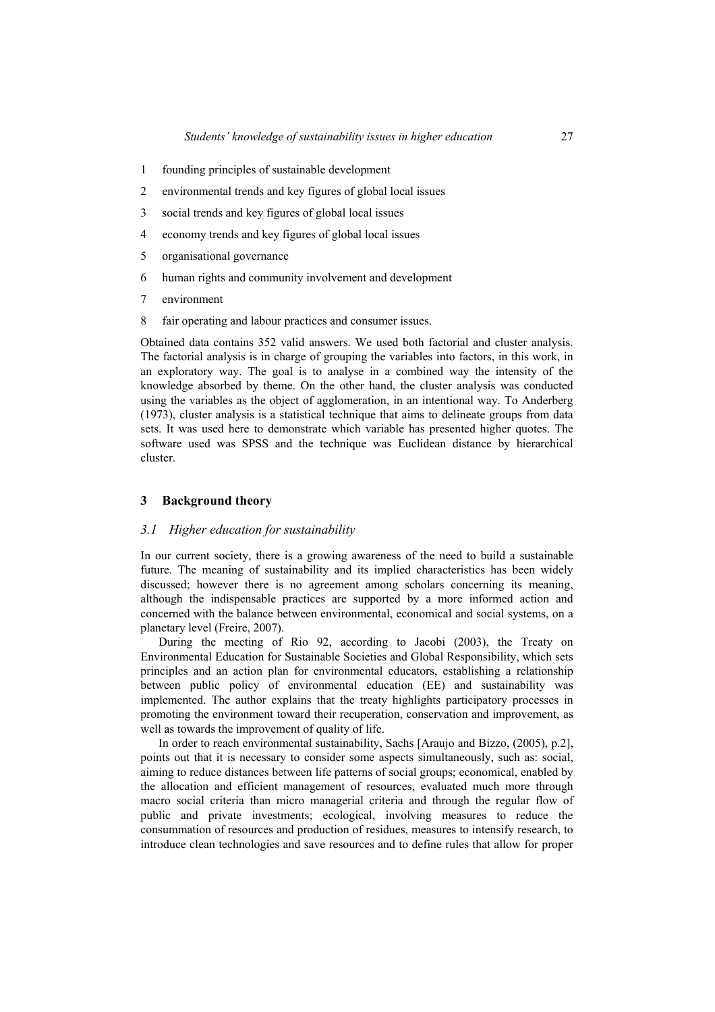- 1 founding principles of sustainable development
- 2 environmental trends and key figures of global local issues
- 3 social trends and key figures of global local issues
- 4 economy trends and key figures of global local issues
- 5 organisational governance
- 6 human rights and community involvement and development
- 7 environment
- 8 fair operating and labour practices and consumer issues.

Obtained data contains 352 valid answers. We used both factorial and cluster analysis. The factorial analysis is in charge of grouping the variables into factors, in this work, in an exploratory way. The goal is to analyse in a combined way the intensity of the knowledge absorbed by theme. On the other hand, the cluster analysis was conducted using the variables as the object of agglomeration, in an intentional way. To Anderberg (1973), cluster analysis is a statistical technique that aims to delineate groups from data sets. It was used here to demonstrate which variable has presented higher quotes. The software used was SPSS and the technique was Euclidean distance by hierarchical cluster.

## **3 Background theory**

## *3.1 Higher education for sustainability*

In our current society, there is a growing awareness of the need to build a sustainable future. The meaning of sustainability and its implied characteristics has been widely discussed; however there is no agreement among scholars concerning its meaning, although the indispensable practices are supported by a more informed action and concerned with the balance between environmental, economical and social systems, on a planetary level (Freire, 2007).

During the meeting of Rio 92, according to Jacobi (2003), the Treaty on Environmental Education for Sustainable Societies and Global Responsibility, which sets principles and an action plan for environmental educators, establishing a relationship between public policy of environmental education (EE) and sustainability was implemented. The author explains that the treaty highlights participatory processes in promoting the environment toward their recuperation, conservation and improvement, as well as towards the improvement of quality of life.

In order to reach environmental sustainability, Sachs [Araujo and Bizzo, (2005), p.2], points out that it is necessary to consider some aspects simultaneously, such as: social, aiming to reduce distances between life patterns of social groups; economical, enabled by the allocation and efficient management of resources, evaluated much more through macro social criteria than micro managerial criteria and through the regular flow of public and private investments; ecological, involving measures to reduce the consummation of resources and production of residues, measures to intensify research, to introduce clean technologies and save resources and to define rules that allow for proper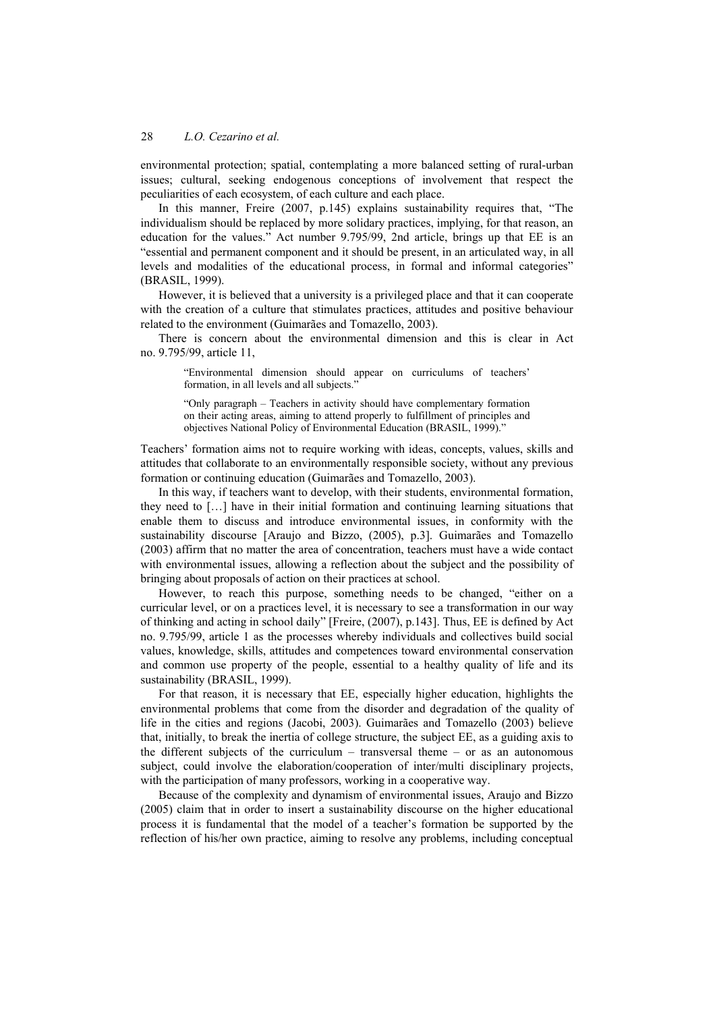environmental protection; spatial, contemplating a more balanced setting of rural-urban issues; cultural, seeking endogenous conceptions of involvement that respect the peculiarities of each ecosystem, of each culture and each place.

In this manner, Freire (2007, p.145) explains sustainability requires that, "The individualism should be replaced by more solidary practices, implying, for that reason, an education for the values." Act number 9.795/99, 2nd article, brings up that EE is an "essential and permanent component and it should be present, in an articulated way, in all levels and modalities of the educational process, in formal and informal categories" (BRASIL, 1999).

However, it is believed that a university is a privileged place and that it can cooperate with the creation of a culture that stimulates practices, attitudes and positive behaviour related to the environment (Guimarães and Tomazello, 2003).

There is concern about the environmental dimension and this is clear in Act no. 9.795/99, article 11,

"Environmental dimension should appear on curriculums of teachers' formation, in all levels and all subjects."

"Only paragraph – Teachers in activity should have complementary formation on their acting areas, aiming to attend properly to fulfillment of principles and objectives National Policy of Environmental Education (BRASIL, 1999)."

Teachers' formation aims not to require working with ideas, concepts, values, skills and attitudes that collaborate to an environmentally responsible society, without any previous formation or continuing education (Guimarães and Tomazello, 2003).

In this way, if teachers want to develop, with their students, environmental formation, they need to […] have in their initial formation and continuing learning situations that enable them to discuss and introduce environmental issues, in conformity with the sustainability discourse [Araujo and Bizzo, (2005), p.3]. Guimarães and Tomazello (2003) affirm that no matter the area of concentration, teachers must have a wide contact with environmental issues, allowing a reflection about the subject and the possibility of bringing about proposals of action on their practices at school.

However, to reach this purpose, something needs to be changed, "either on a curricular level, or on a practices level, it is necessary to see a transformation in our way of thinking and acting in school daily" [Freire, (2007), p.143]. Thus, EE is defined by Act no. 9.795/99, article 1 as the processes whereby individuals and collectives build social values, knowledge, skills, attitudes and competences toward environmental conservation and common use property of the people, essential to a healthy quality of life and its sustainability (BRASIL, 1999).

For that reason, it is necessary that EE, especially higher education, highlights the environmental problems that come from the disorder and degradation of the quality of life in the cities and regions (Jacobi, 2003). Guimarães and Tomazello (2003) believe that, initially, to break the inertia of college structure, the subject EE, as a guiding axis to the different subjects of the curriculum – transversal theme – or as an autonomous subject, could involve the elaboration/cooperation of inter/multi disciplinary projects, with the participation of many professors, working in a cooperative way.

Because of the complexity and dynamism of environmental issues, Araujo and Bizzo (2005) claim that in order to insert a sustainability discourse on the higher educational process it is fundamental that the model of a teacher's formation be supported by the reflection of his/her own practice, aiming to resolve any problems, including conceptual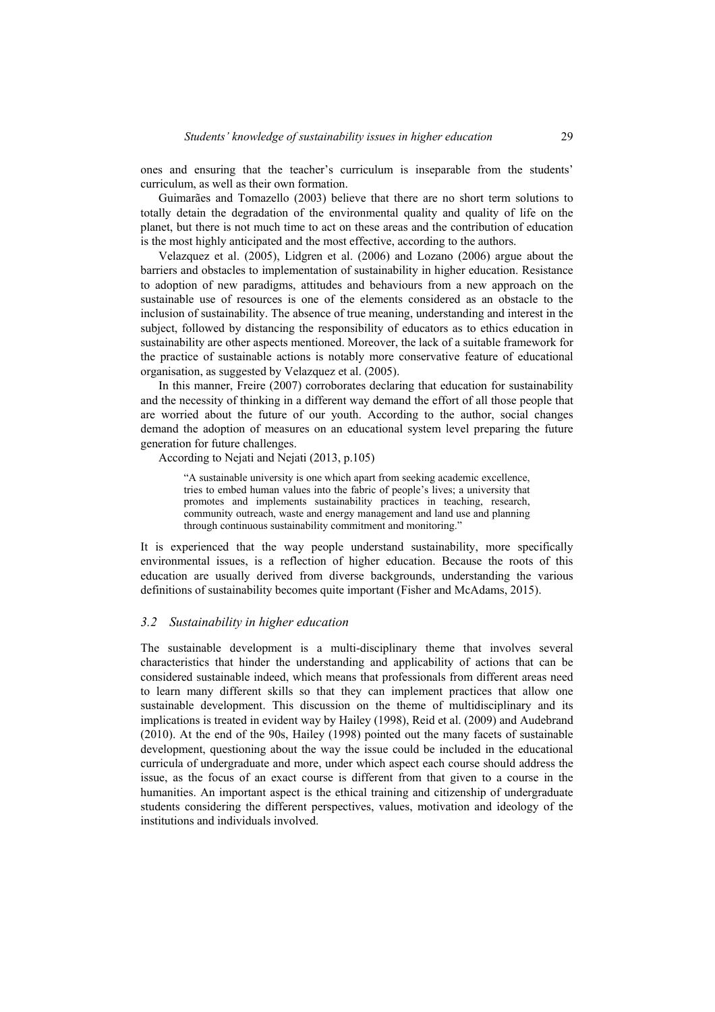ones and ensuring that the teacher's curriculum is inseparable from the students' curriculum, as well as their own formation.

Guimarães and Tomazello (2003) believe that there are no short term solutions to totally detain the degradation of the environmental quality and quality of life on the planet, but there is not much time to act on these areas and the contribution of education is the most highly anticipated and the most effective, according to the authors.

Velazquez et al. (2005), Lidgren et al. (2006) and Lozano (2006) argue about the barriers and obstacles to implementation of sustainability in higher education. Resistance to adoption of new paradigms, attitudes and behaviours from a new approach on the sustainable use of resources is one of the elements considered as an obstacle to the inclusion of sustainability. The absence of true meaning, understanding and interest in the subject, followed by distancing the responsibility of educators as to ethics education in sustainability are other aspects mentioned. Moreover, the lack of a suitable framework for the practice of sustainable actions is notably more conservative feature of educational organisation, as suggested by Velazquez et al. (2005).

In this manner, Freire (2007) corroborates declaring that education for sustainability and the necessity of thinking in a different way demand the effort of all those people that are worried about the future of our youth. According to the author, social changes demand the adoption of measures on an educational system level preparing the future generation for future challenges.

According to Nejati and Nejati (2013, p.105)

"A sustainable university is one which apart from seeking academic excellence, tries to embed human values into the fabric of people's lives; a university that promotes and implements sustainability practices in teaching, research, community outreach, waste and energy management and land use and planning through continuous sustainability commitment and monitoring."

It is experienced that the way people understand sustainability, more specifically environmental issues, is a reflection of higher education. Because the roots of this education are usually derived from diverse backgrounds, understanding the various definitions of sustainability becomes quite important (Fisher and McAdams, 2015).

#### *3.2 Sustainability in higher education*

The sustainable development is a multi-disciplinary theme that involves several characteristics that hinder the understanding and applicability of actions that can be considered sustainable indeed, which means that professionals from different areas need to learn many different skills so that they can implement practices that allow one sustainable development. This discussion on the theme of multidisciplinary and its implications is treated in evident way by Hailey (1998), Reid et al. (2009) and Audebrand (2010). At the end of the 90s, Hailey (1998) pointed out the many facets of sustainable development, questioning about the way the issue could be included in the educational curricula of undergraduate and more, under which aspect each course should address the issue, as the focus of an exact course is different from that given to a course in the humanities. An important aspect is the ethical training and citizenship of undergraduate students considering the different perspectives, values, motivation and ideology of the institutions and individuals involved.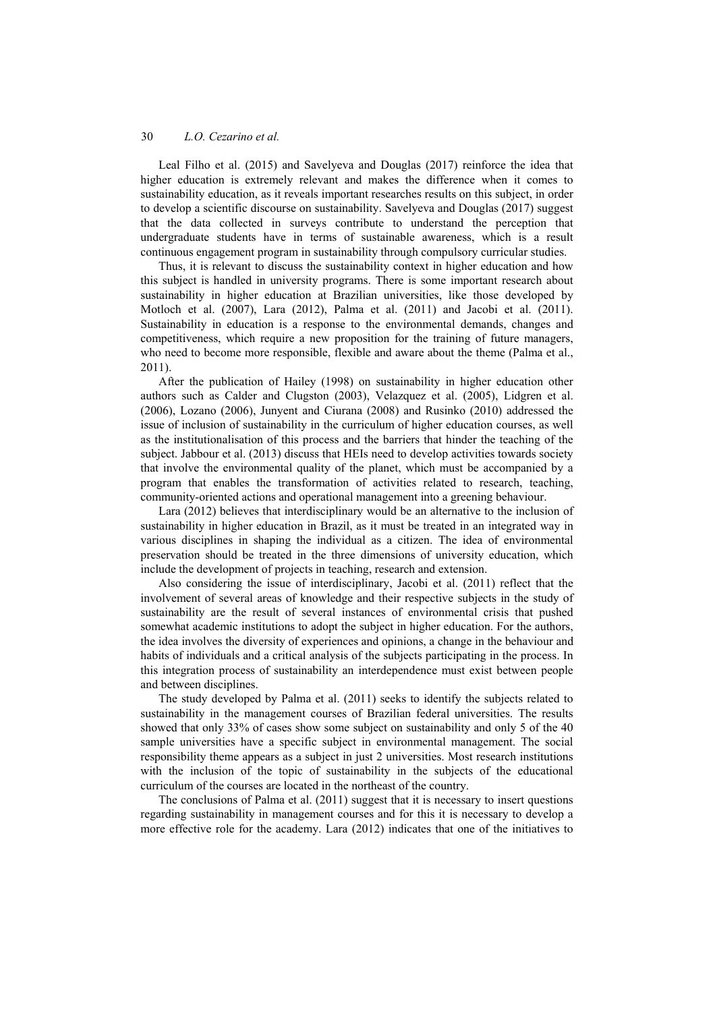Leal Filho et al. (2015) and Savelyeva and Douglas (2017) reinforce the idea that higher education is extremely relevant and makes the difference when it comes to sustainability education, as it reveals important researches results on this subject, in order to develop a scientific discourse on sustainability. Savelyeva and Douglas (2017) suggest that the data collected in surveys contribute to understand the perception that undergraduate students have in terms of sustainable awareness, which is a result continuous engagement program in sustainability through compulsory curricular studies.

Thus, it is relevant to discuss the sustainability context in higher education and how this subject is handled in university programs. There is some important research about sustainability in higher education at Brazilian universities, like those developed by Motloch et al. (2007), Lara (2012), Palma et al. (2011) and Jacobi et al. (2011). Sustainability in education is a response to the environmental demands, changes and competitiveness, which require a new proposition for the training of future managers, who need to become more responsible, flexible and aware about the theme (Palma et al., 2011).

After the publication of Hailey (1998) on sustainability in higher education other authors such as Calder and Clugston (2003), Velazquez et al. (2005), Lidgren et al. (2006), Lozano (2006), Junyent and Ciurana (2008) and Rusinko (2010) addressed the issue of inclusion of sustainability in the curriculum of higher education courses, as well as the institutionalisation of this process and the barriers that hinder the teaching of the subject. Jabbour et al. (2013) discuss that HEIs need to develop activities towards society that involve the environmental quality of the planet, which must be accompanied by a program that enables the transformation of activities related to research, teaching, community-oriented actions and operational management into a greening behaviour.

Lara (2012) believes that interdisciplinary would be an alternative to the inclusion of sustainability in higher education in Brazil, as it must be treated in an integrated way in various disciplines in shaping the individual as a citizen. The idea of environmental preservation should be treated in the three dimensions of university education, which include the development of projects in teaching, research and extension.

Also considering the issue of interdisciplinary, Jacobi et al. (2011) reflect that the involvement of several areas of knowledge and their respective subjects in the study of sustainability are the result of several instances of environmental crisis that pushed somewhat academic institutions to adopt the subject in higher education. For the authors, the idea involves the diversity of experiences and opinions, a change in the behaviour and habits of individuals and a critical analysis of the subjects participating in the process. In this integration process of sustainability an interdependence must exist between people and between disciplines.

The study developed by Palma et al. (2011) seeks to identify the subjects related to sustainability in the management courses of Brazilian federal universities. The results showed that only 33% of cases show some subject on sustainability and only 5 of the 40 sample universities have a specific subject in environmental management. The social responsibility theme appears as a subject in just 2 universities. Most research institutions with the inclusion of the topic of sustainability in the subjects of the educational curriculum of the courses are located in the northeast of the country.

The conclusions of Palma et al. (2011) suggest that it is necessary to insert questions regarding sustainability in management courses and for this it is necessary to develop a more effective role for the academy. Lara (2012) indicates that one of the initiatives to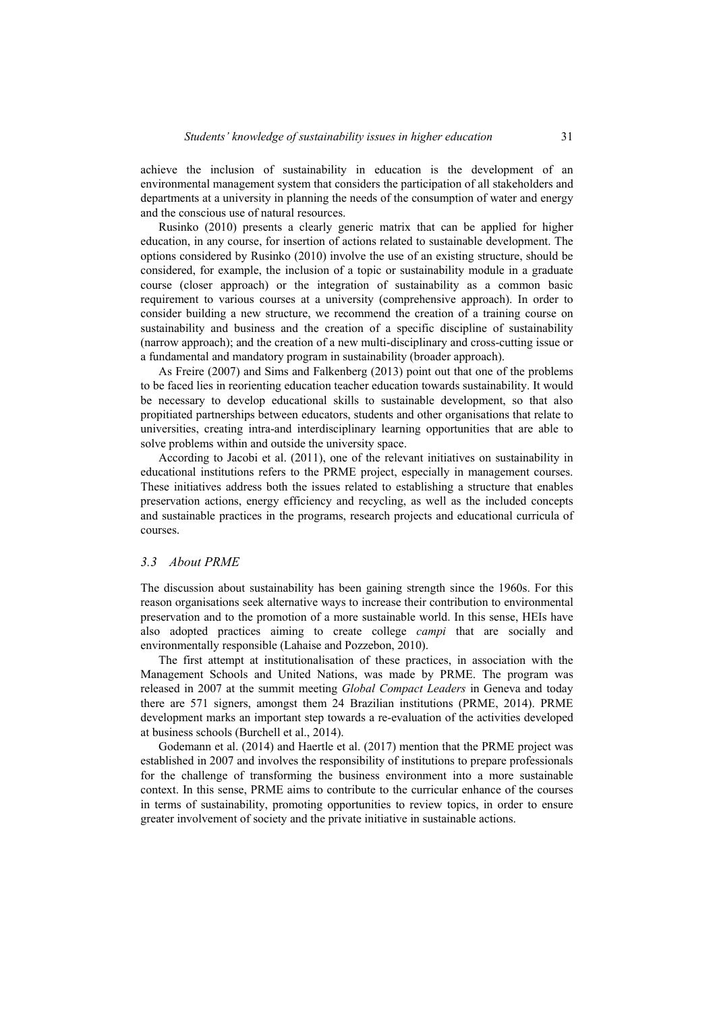achieve the inclusion of sustainability in education is the development of an environmental management system that considers the participation of all stakeholders and departments at a university in planning the needs of the consumption of water and energy and the conscious use of natural resources.

Rusinko (2010) presents a clearly generic matrix that can be applied for higher education, in any course, for insertion of actions related to sustainable development. The options considered by Rusinko (2010) involve the use of an existing structure, should be considered, for example, the inclusion of a topic or sustainability module in a graduate course (closer approach) or the integration of sustainability as a common basic requirement to various courses at a university (comprehensive approach). In order to consider building a new structure, we recommend the creation of a training course on sustainability and business and the creation of a specific discipline of sustainability (narrow approach); and the creation of a new multi-disciplinary and cross-cutting issue or a fundamental and mandatory program in sustainability (broader approach).

As Freire (2007) and Sims and Falkenberg (2013) point out that one of the problems to be faced lies in reorienting education teacher education towards sustainability. It would be necessary to develop educational skills to sustainable development, so that also propitiated partnerships between educators, students and other organisations that relate to universities, creating intra-and interdisciplinary learning opportunities that are able to solve problems within and outside the university space.

According to Jacobi et al. (2011), one of the relevant initiatives on sustainability in educational institutions refers to the PRME project, especially in management courses. These initiatives address both the issues related to establishing a structure that enables preservation actions, energy efficiency and recycling, as well as the included concepts and sustainable practices in the programs, research projects and educational curricula of courses.

#### *3.3 About PRME*

The discussion about sustainability has been gaining strength since the 1960s. For this reason organisations seek alternative ways to increase their contribution to environmental preservation and to the promotion of a more sustainable world. In this sense, HEIs have also adopted practices aiming to create college *campi* that are socially and environmentally responsible (Lahaise and Pozzebon, 2010).

The first attempt at institutionalisation of these practices, in association with the Management Schools and United Nations, was made by PRME. The program was released in 2007 at the summit meeting *Global Compact Leaders* in Geneva and today there are 571 signers, amongst them 24 Brazilian institutions (PRME, 2014). PRME development marks an important step towards a re-evaluation of the activities developed at business schools (Burchell et al., 2014).

Godemann et al. (2014) and Haertle et al. (2017) mention that the PRME project was established in 2007 and involves the responsibility of institutions to prepare professionals for the challenge of transforming the business environment into a more sustainable context. In this sense, PRME aims to contribute to the curricular enhance of the courses in terms of sustainability, promoting opportunities to review topics, in order to ensure greater involvement of society and the private initiative in sustainable actions.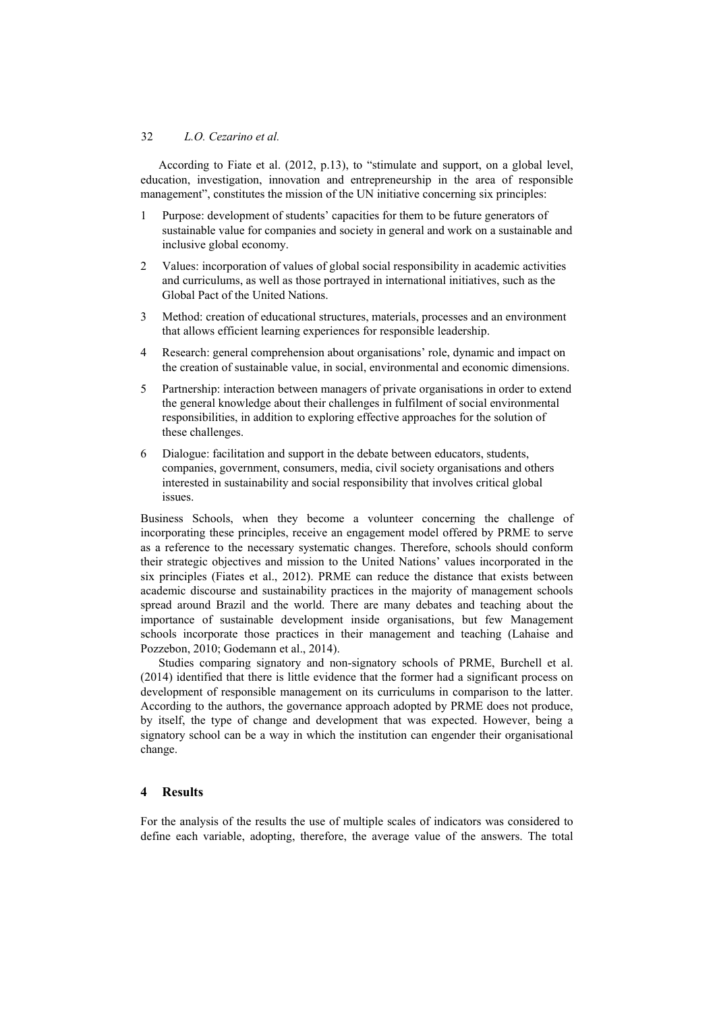According to Fiate et al. (2012, p.13), to "stimulate and support, on a global level, education, investigation, innovation and entrepreneurship in the area of responsible management", constitutes the mission of the UN initiative concerning six principles:

- 1 Purpose: development of students' capacities for them to be future generators of sustainable value for companies and society in general and work on a sustainable and inclusive global economy.
- 2 Values: incorporation of values of global social responsibility in academic activities and curriculums, as well as those portrayed in international initiatives, such as the Global Pact of the United Nations.
- 3 Method: creation of educational structures, materials, processes and an environment that allows efficient learning experiences for responsible leadership.
- 4 Research: general comprehension about organisations' role, dynamic and impact on the creation of sustainable value, in social, environmental and economic dimensions.
- 5 Partnership: interaction between managers of private organisations in order to extend the general knowledge about their challenges in fulfilment of social environmental responsibilities, in addition to exploring effective approaches for the solution of these challenges.
- 6 Dialogue: facilitation and support in the debate between educators, students, companies, government, consumers, media, civil society organisations and others interested in sustainability and social responsibility that involves critical global issues.

Business Schools, when they become a volunteer concerning the challenge of incorporating these principles, receive an engagement model offered by PRME to serve as a reference to the necessary systematic changes. Therefore, schools should conform their strategic objectives and mission to the United Nations' values incorporated in the six principles (Fiates et al., 2012). PRME can reduce the distance that exists between academic discourse and sustainability practices in the majority of management schools spread around Brazil and the world. There are many debates and teaching about the importance of sustainable development inside organisations, but few Management schools incorporate those practices in their management and teaching (Lahaise and Pozzebon, 2010; Godemann et al., 2014).

Studies comparing signatory and non-signatory schools of PRME, Burchell et al. (2014) identified that there is little evidence that the former had a significant process on development of responsible management on its curriculums in comparison to the latter. According to the authors, the governance approach adopted by PRME does not produce, by itself, the type of change and development that was expected. However, being a signatory school can be a way in which the institution can engender their organisational change.

### **4 Results**

For the analysis of the results the use of multiple scales of indicators was considered to define each variable, adopting, therefore, the average value of the answers. The total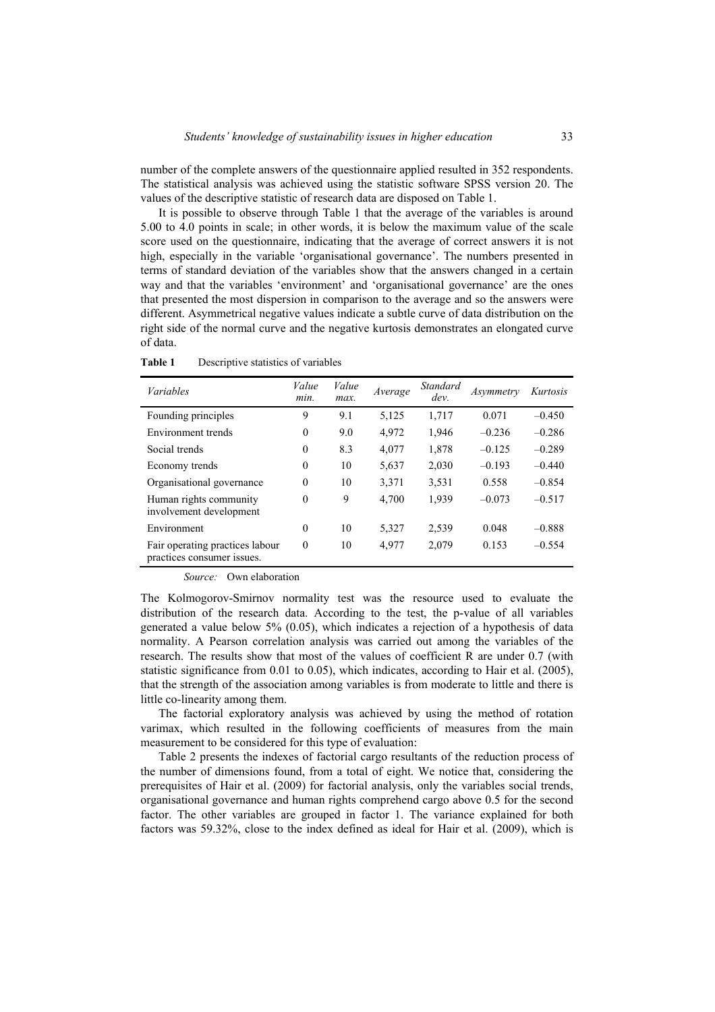number of the complete answers of the questionnaire applied resulted in 352 respondents. The statistical analysis was achieved using the statistic software SPSS version 20. The values of the descriptive statistic of research data are disposed on Table 1.

It is possible to observe through Table 1 that the average of the variables is around 5.00 to 4.0 points in scale; in other words, it is below the maximum value of the scale score used on the questionnaire, indicating that the average of correct answers it is not high, especially in the variable 'organisational governance'. The numbers presented in terms of standard deviation of the variables show that the answers changed in a certain way and that the variables 'environment' and 'organisational governance' are the ones that presented the most dispersion in comparison to the average and so the answers were different. Asymmetrical negative values indicate a subtle curve of data distribution on the right side of the normal curve and the negative kurtosis demonstrates an elongated curve of data.

| <i>Variables</i>                                              | Value<br>min. | Value<br><i>max.</i> | Average | <b>Standard</b><br>dev. | Asymmetry | Kurtosis |
|---------------------------------------------------------------|---------------|----------------------|---------|-------------------------|-----------|----------|
| Founding principles                                           | 9             | 9.1                  | 5,125   | 1,717                   | 0.071     | $-0.450$ |
| Environment trends                                            | $\theta$      | 9.0                  | 4,972   | 1,946                   | $-0.236$  | $-0.286$ |
| Social trends                                                 | $\theta$      | 8.3                  | 4.077   | 1,878                   | $-0.125$  | $-0.289$ |
| Economy trends                                                | $\theta$      | 10                   | 5,637   | 2,030                   | $-0.193$  | $-0.440$ |
| Organisational governance                                     | $\theta$      | 10                   | 3,371   | 3,531                   | 0.558     | $-0.854$ |
| Human rights community<br>involvement development             | $\theta$      | 9                    | 4,700   | 1,939                   | $-0.073$  | $-0.517$ |
| Environment                                                   | $\theta$      | 10                   | 5,327   | 2,539                   | 0.048     | $-0.888$ |
| Fair operating practices labour<br>practices consumer issues. | $\theta$      | 10                   | 4.977   | 2,079                   | 0.153     | $-0.554$ |

**Table 1** Descriptive statistics of variables

*Source:* Own elaboration

The Kolmogorov-Smirnov normality test was the resource used to evaluate the distribution of the research data. According to the test, the p-value of all variables generated a value below 5% (0.05), which indicates a rejection of a hypothesis of data normality. A Pearson correlation analysis was carried out among the variables of the research. The results show that most of the values of coefficient R are under 0.7 (with statistic significance from 0.01 to 0.05), which indicates, according to Hair et al. (2005), that the strength of the association among variables is from moderate to little and there is little co-linearity among them.

The factorial exploratory analysis was achieved by using the method of rotation varimax, which resulted in the following coefficients of measures from the main measurement to be considered for this type of evaluation:

Table 2 presents the indexes of factorial cargo resultants of the reduction process of the number of dimensions found, from a total of eight. We notice that, considering the prerequisites of Hair et al. (2009) for factorial analysis, only the variables social trends, organisational governance and human rights comprehend cargo above 0.5 for the second factor. The other variables are grouped in factor 1. The variance explained for both factors was 59.32%, close to the index defined as ideal for Hair et al. (2009), which is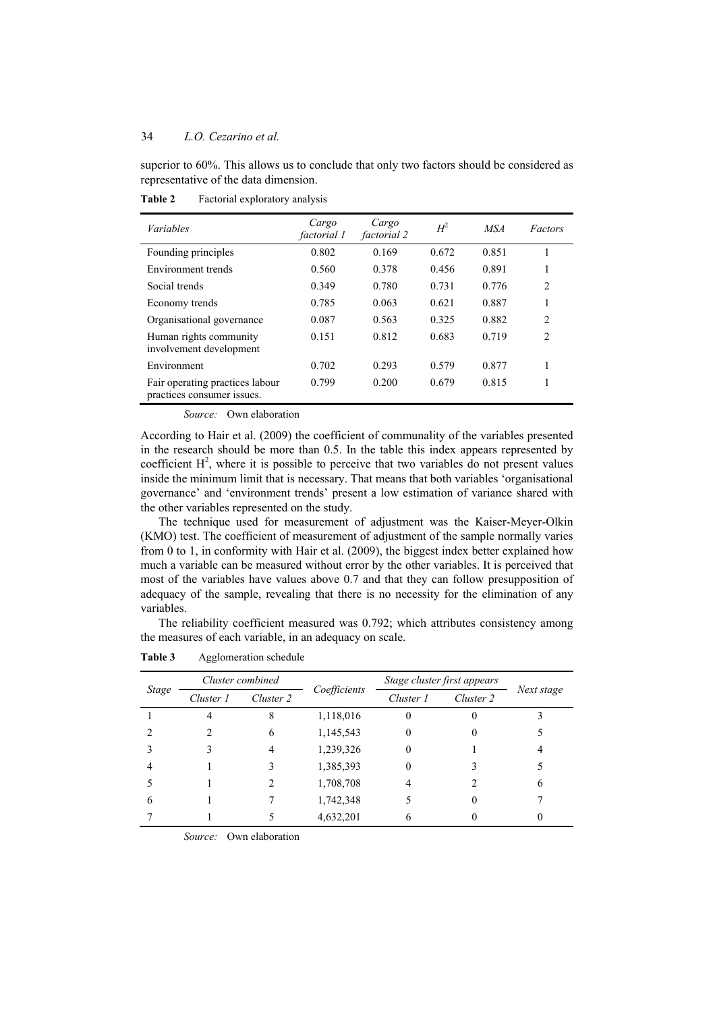superior to 60%. This allows us to conclude that only two factors should be considered as representative of the data dimension.

**Table 2** Factorial exploratory analysis

| <i>Variables</i>                                              | Cargo<br>factorial 1 | Cargo<br>factorial 2 | $H^2$ | <i>MSA</i> | Factors        |
|---------------------------------------------------------------|----------------------|----------------------|-------|------------|----------------|
| Founding principles                                           | 0.802                | 0.169                | 0.672 | 0.851      | 1              |
| Environment trends                                            | 0.560                | 0.378                | 0.456 | 0.891      | 1              |
| Social trends                                                 | 0.349                | 0.780                | 0.731 | 0.776      | $\overline{2}$ |
| Economy trends                                                | 0.785                | 0.063                | 0.621 | 0.887      | 1              |
| Organisational governance                                     | 0.087                | 0.563                | 0.325 | 0.882      | $\overline{2}$ |
| Human rights community<br>involvement development             | 0.151                | 0.812                | 0.683 | 0.719      | $\overline{2}$ |
| Environment                                                   | 0.702                | 0.293                | 0.579 | 0.877      | 1              |
| Fair operating practices labour<br>practices consumer issues. | 0.799                | 0.200                | 0.679 | 0.815      | 1              |

*Source:* Own elaboration

According to Hair et al. (2009) the coefficient of communality of the variables presented in the research should be more than 0.5. In the table this index appears represented by coefficient  $H^2$ , where it is possible to perceive that two variables do not present values inside the minimum limit that is necessary. That means that both variables 'organisational governance' and 'environment trends' present a low estimation of variance shared with the other variables represented on the study.

The technique used for measurement of adjustment was the Kaiser-Meyer-Olkin (KMO) test. The coefficient of measurement of adjustment of the sample normally varies from 0 to 1, in conformity with Hair et al. (2009), the biggest index better explained how much a variable can be measured without error by the other variables. It is perceived that most of the variables have values above 0.7 and that they can follow presupposition of adequacy of the sample, revealing that there is no necessity for the elimination of any variables.

The reliability coefficient measured was 0.792; which attributes consistency among the measures of each variable, in an adequacy on scale.

**Table 3** Agglomeration schedule

| Stage | Cluster combined |           |              | Stage cluster first appears |           |            |
|-------|------------------|-----------|--------------|-----------------------------|-----------|------------|
|       | Cluster 1        | Cluster 2 | Coefficients | Cluster 1                   | Cluster 2 | Next stage |
|       |                  | 8         | 1,118,016    | 0                           |           |            |
|       |                  | 6         | 1,145,543    | 0                           |           |            |
|       |                  | 4         | 1,239,326    | 0                           |           |            |
|       |                  |           | 1,385,393    | 0                           |           |            |
|       |                  |           | 1,708,708    |                             |           |            |
| 6     |                  |           | 1,742,348    |                             |           |            |
|       |                  |           | 4,632,201    |                             |           |            |

*Source:* Own elaboration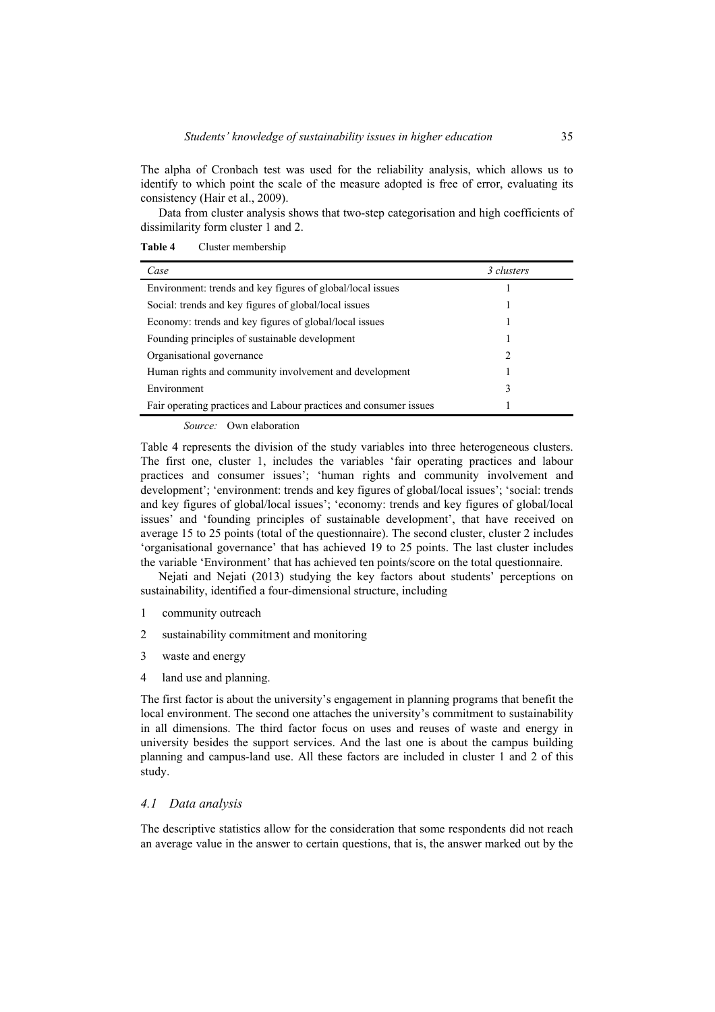The alpha of Cronbach test was used for the reliability analysis, which allows us to identify to which point the scale of the measure adopted is free of error, evaluating its consistency (Hair et al., 2009).

Data from cluster analysis shows that two-step categorisation and high coefficients of dissimilarity form cluster 1 and 2.

**Table 4** Cluster membership

| Case                                                              | 3 clusters |
|-------------------------------------------------------------------|------------|
| Environment: trends and key figures of global/local issues        |            |
| Social: trends and key figures of global/local issues             |            |
| Economy: trends and key figures of global/local issues            |            |
| Founding principles of sustainable development                    |            |
| Organisational governance                                         | 2          |
| Human rights and community involvement and development            |            |
| Environment                                                       | 3          |
| Fair operating practices and Labour practices and consumer issues |            |

#### *Source:* Own elaboration

Table 4 represents the division of the study variables into three heterogeneous clusters. The first one, cluster 1, includes the variables 'fair operating practices and labour practices and consumer issues'; 'human rights and community involvement and development'; 'environment: trends and key figures of global/local issues'; 'social: trends and key figures of global/local issues'; 'economy: trends and key figures of global/local issues' and 'founding principles of sustainable development', that have received on average 15 to 25 points (total of the questionnaire). The second cluster, cluster 2 includes 'organisational governance' that has achieved 19 to 25 points. The last cluster includes the variable 'Environment' that has achieved ten points/score on the total questionnaire.

Nejati and Nejati (2013) studying the key factors about students' perceptions on sustainability, identified a four-dimensional structure, including

- 1 community outreach
- 2 sustainability commitment and monitoring
- 3 waste and energy
- 4 land use and planning.

The first factor is about the university's engagement in planning programs that benefit the local environment. The second one attaches the university's commitment to sustainability in all dimensions. The third factor focus on uses and reuses of waste and energy in university besides the support services. And the last one is about the campus building planning and campus-land use. All these factors are included in cluster 1 and 2 of this study.

# *4.1 Data analysis*

The descriptive statistics allow for the consideration that some respondents did not reach an average value in the answer to certain questions, that is, the answer marked out by the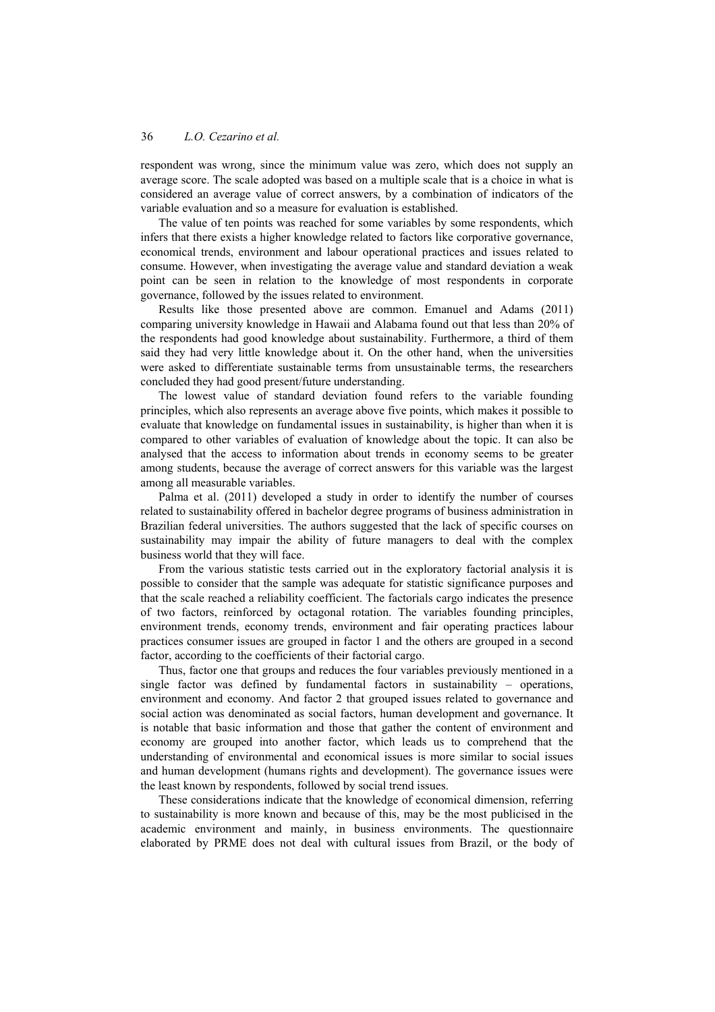respondent was wrong, since the minimum value was zero, which does not supply an average score. The scale adopted was based on a multiple scale that is a choice in what is considered an average value of correct answers, by a combination of indicators of the variable evaluation and so a measure for evaluation is established.

The value of ten points was reached for some variables by some respondents, which infers that there exists a higher knowledge related to factors like corporative governance, economical trends, environment and labour operational practices and issues related to consume. However, when investigating the average value and standard deviation a weak point can be seen in relation to the knowledge of most respondents in corporate governance, followed by the issues related to environment.

Results like those presented above are common. Emanuel and Adams (2011) comparing university knowledge in Hawaii and Alabama found out that less than 20% of the respondents had good knowledge about sustainability. Furthermore, a third of them said they had very little knowledge about it. On the other hand, when the universities were asked to differentiate sustainable terms from unsustainable terms, the researchers concluded they had good present/future understanding.

The lowest value of standard deviation found refers to the variable founding principles, which also represents an average above five points, which makes it possible to evaluate that knowledge on fundamental issues in sustainability, is higher than when it is compared to other variables of evaluation of knowledge about the topic. It can also be analysed that the access to information about trends in economy seems to be greater among students, because the average of correct answers for this variable was the largest among all measurable variables.

Palma et al. (2011) developed a study in order to identify the number of courses related to sustainability offered in bachelor degree programs of business administration in Brazilian federal universities. The authors suggested that the lack of specific courses on sustainability may impair the ability of future managers to deal with the complex business world that they will face.

From the various statistic tests carried out in the exploratory factorial analysis it is possible to consider that the sample was adequate for statistic significance purposes and that the scale reached a reliability coefficient. The factorials cargo indicates the presence of two factors, reinforced by octagonal rotation. The variables founding principles, environment trends, economy trends, environment and fair operating practices labour practices consumer issues are grouped in factor 1 and the others are grouped in a second factor, according to the coefficients of their factorial cargo.

Thus, factor one that groups and reduces the four variables previously mentioned in a single factor was defined by fundamental factors in sustainability  $-$  operations, environment and economy. And factor 2 that grouped issues related to governance and social action was denominated as social factors, human development and governance. It is notable that basic information and those that gather the content of environment and economy are grouped into another factor, which leads us to comprehend that the understanding of environmental and economical issues is more similar to social issues and human development (humans rights and development). The governance issues were the least known by respondents, followed by social trend issues.

These considerations indicate that the knowledge of economical dimension, referring to sustainability is more known and because of this, may be the most publicised in the academic environment and mainly, in business environments. The questionnaire elaborated by PRME does not deal with cultural issues from Brazil, or the body of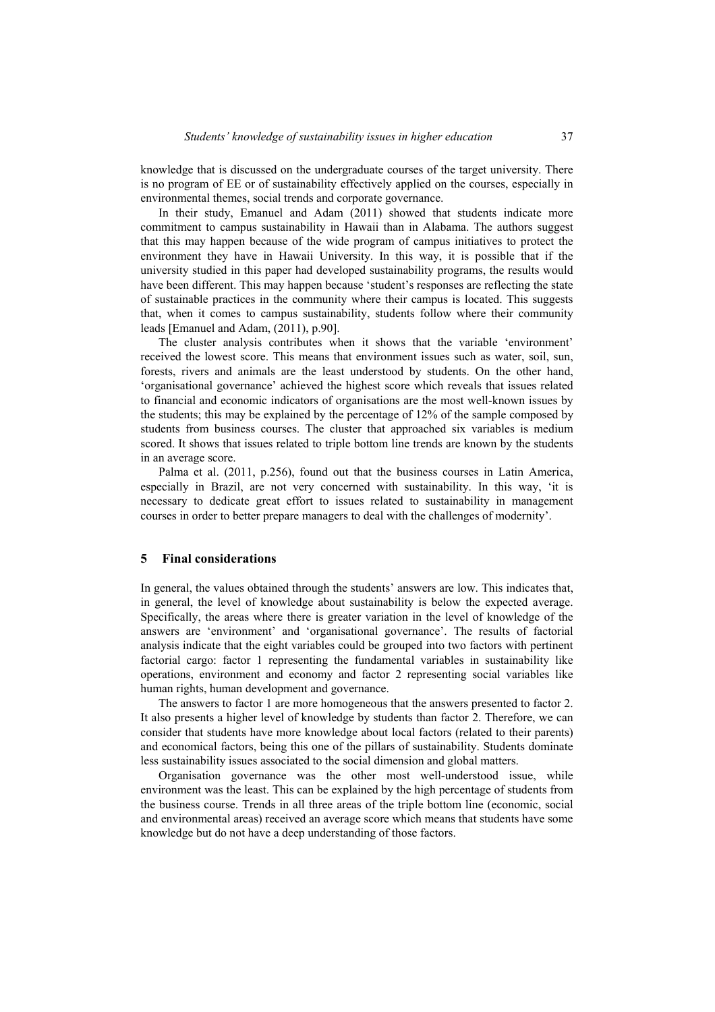knowledge that is discussed on the undergraduate courses of the target university. There is no program of EE or of sustainability effectively applied on the courses, especially in environmental themes, social trends and corporate governance.

In their study, Emanuel and Adam (2011) showed that students indicate more commitment to campus sustainability in Hawaii than in Alabama. The authors suggest that this may happen because of the wide program of campus initiatives to protect the environment they have in Hawaii University. In this way, it is possible that if the university studied in this paper had developed sustainability programs, the results would have been different. This may happen because 'student's responses are reflecting the state of sustainable practices in the community where their campus is located. This suggests that, when it comes to campus sustainability, students follow where their community leads [Emanuel and Adam, (2011), p.90].

The cluster analysis contributes when it shows that the variable 'environment' received the lowest score. This means that environment issues such as water, soil, sun, forests, rivers and animals are the least understood by students. On the other hand, 'organisational governance' achieved the highest score which reveals that issues related to financial and economic indicators of organisations are the most well-known issues by the students; this may be explained by the percentage of 12% of the sample composed by students from business courses. The cluster that approached six variables is medium scored. It shows that issues related to triple bottom line trends are known by the students in an average score.

Palma et al. (2011, p.256), found out that the business courses in Latin America, especially in Brazil, are not very concerned with sustainability. In this way, 'it is necessary to dedicate great effort to issues related to sustainability in management courses in order to better prepare managers to deal with the challenges of modernity'.

## **5 Final considerations**

In general, the values obtained through the students' answers are low. This indicates that, in general, the level of knowledge about sustainability is below the expected average. Specifically, the areas where there is greater variation in the level of knowledge of the answers are 'environment' and 'organisational governance'. The results of factorial analysis indicate that the eight variables could be grouped into two factors with pertinent factorial cargo: factor 1 representing the fundamental variables in sustainability like operations, environment and economy and factor 2 representing social variables like human rights, human development and governance.

The answers to factor 1 are more homogeneous that the answers presented to factor 2. It also presents a higher level of knowledge by students than factor 2. Therefore, we can consider that students have more knowledge about local factors (related to their parents) and economical factors, being this one of the pillars of sustainability. Students dominate less sustainability issues associated to the social dimension and global matters.

Organisation governance was the other most well-understood issue, while environment was the least. This can be explained by the high percentage of students from the business course. Trends in all three areas of the triple bottom line (economic, social and environmental areas) received an average score which means that students have some knowledge but do not have a deep understanding of those factors.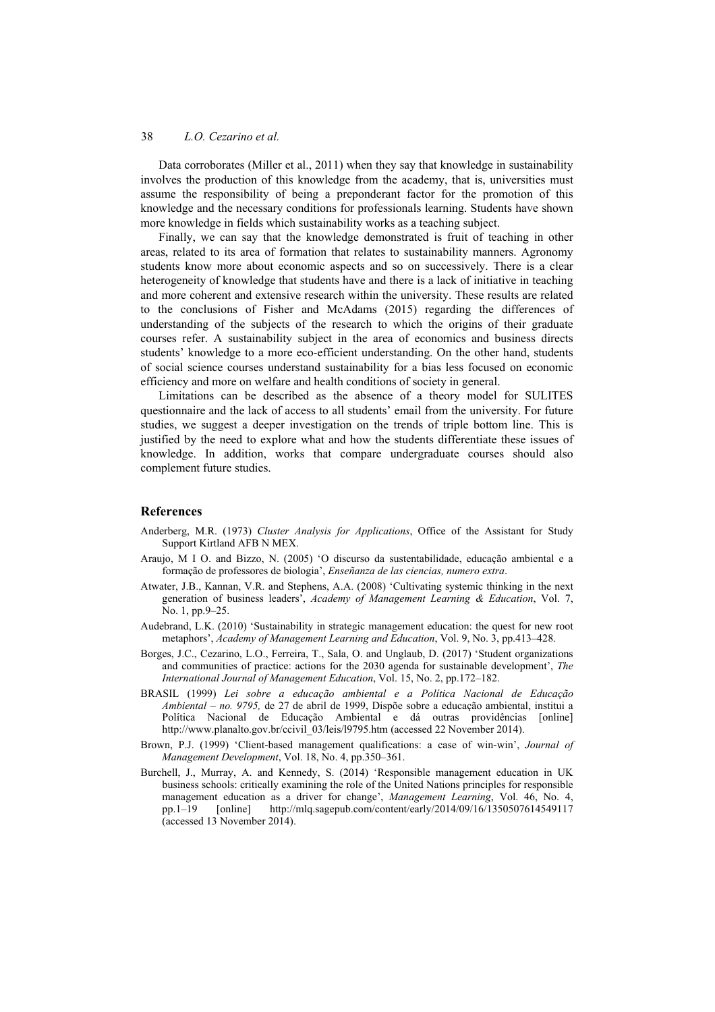Data corroborates (Miller et al., 2011) when they say that knowledge in sustainability involves the production of this knowledge from the academy, that is, universities must assume the responsibility of being a preponderant factor for the promotion of this knowledge and the necessary conditions for professionals learning. Students have shown more knowledge in fields which sustainability works as a teaching subject.

Finally, we can say that the knowledge demonstrated is fruit of teaching in other areas, related to its area of formation that relates to sustainability manners. Agronomy students know more about economic aspects and so on successively. There is a clear heterogeneity of knowledge that students have and there is a lack of initiative in teaching and more coherent and extensive research within the university. These results are related to the conclusions of Fisher and McAdams (2015) regarding the differences of understanding of the subjects of the research to which the origins of their graduate courses refer. A sustainability subject in the area of economics and business directs students' knowledge to a more eco-efficient understanding. On the other hand, students of social science courses understand sustainability for a bias less focused on economic efficiency and more on welfare and health conditions of society in general.

Limitations can be described as the absence of a theory model for SULITES questionnaire and the lack of access to all students' email from the university. For future studies, we suggest a deeper investigation on the trends of triple bottom line. This is justified by the need to explore what and how the students differentiate these issues of knowledge. In addition, works that compare undergraduate courses should also complement future studies.

#### **References**

- Anderberg, M.R. (1973) *Cluster Analysis for Applications*, Office of the Assistant for Study Support Kirtland AFB N MEX.
- Araujo, M I O. and Bizzo, N. (2005) 'O discurso da sustentabilidade, educação ambiental e a formação de professores de biologia', *Enseñanza de las ciencias, numero extra*.
- Atwater, J.B., Kannan, V.R. and Stephens, A.A. (2008) 'Cultivating systemic thinking in the next generation of business leaders', *Academy of Management Learning & Education*, Vol. 7, No. 1, pp.9–25.
- Audebrand, L.K. (2010) 'Sustainability in strategic management education: the quest for new root metaphors', *Academy of Management Learning and Education*, Vol. 9, No. 3, pp.413–428.
- Borges, J.C., Cezarino, L.O., Ferreira, T., Sala, O. and Unglaub, D. (2017) 'Student organizations and communities of practice: actions for the 2030 agenda for sustainable development', *The International Journal of Management Education*, Vol. 15, No. 2, pp.172–182.
- BRASIL (1999) *Lei sobre a educação ambiental e a Política Nacional de Educação Ambiental – no. 9795,* de 27 de abril de 1999, Dispõe sobre a educação ambiental, institui a Política Nacional de Educação Ambiental e dá outras providências [online] http://www.planalto.gov.br/ccivil\_03/leis/l9795.htm (accessed 22 November 2014).
- Brown, P.J. (1999) 'Client-based management qualifications: a case of win-win', *Journal of Management Development*, Vol. 18, No. 4, pp.350–361.
- Burchell, J., Murray, A. and Kennedy, S. (2014) 'Responsible management education in UK business schools: critically examining the role of the United Nations principles for responsible management education as a driver for change', *Management Learning*, Vol. 46, No. 4, pp.1–19 [online] http://mlq.sagepub.com/content/early/2014/09/16/1350507614549117 (accessed 13 November 2014).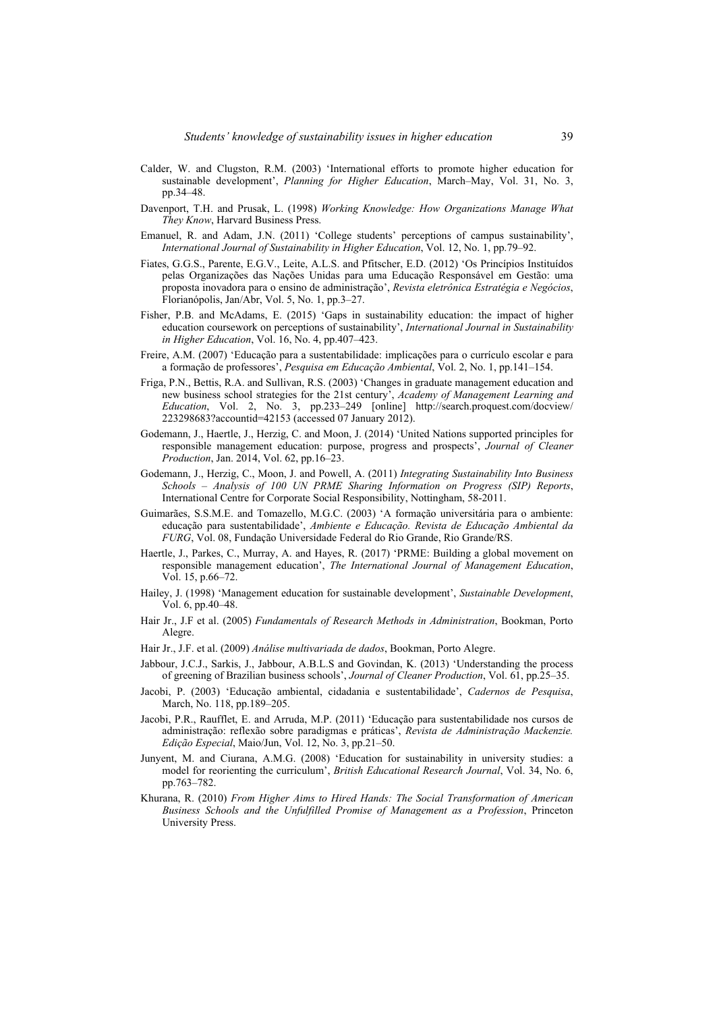- Calder, W. and Clugston, R.M. (2003) 'International efforts to promote higher education for sustainable development', *Planning for Higher Education*, March–May, Vol. 31, No. 3, pp.34–48.
- Davenport, T.H. and Prusak, L. (1998) *Working Knowledge: How Organizations Manage What They Know*, Harvard Business Press.
- Emanuel, R. and Adam, J.N. (2011) 'College students' perceptions of campus sustainability', *International Journal of Sustainability in Higher Education*, Vol. 12, No. 1, pp.79–92.
- Fiates, G.G.S., Parente, E.G.V., Leite, A.L.S. and Pfitscher, E.D. (2012) 'Os Princípios Instituídos pelas Organizações das Nações Unidas para uma Educação Responsável em Gestão: uma proposta inovadora para o ensino de administração', *Revista eletrônica Estratégia e Negócios*, Florianópolis, Jan/Abr, Vol. 5, No. 1, pp.3–27.
- Fisher, P.B. and McAdams, E. (2015) 'Gaps in sustainability education: the impact of higher education coursework on perceptions of sustainability', *International Journal in Sustainability in Higher Education*, Vol. 16, No. 4, pp.407–423.
- Freire, A.M. (2007) 'Educação para a sustentabilidade: implicações para o currículo escolar e para a formação de professores', *Pesquisa em Educação Ambiental*, Vol. 2, No. 1, pp.141–154.
- Friga, P.N., Bettis, R.A. and Sullivan, R.S. (2003) 'Changes in graduate management education and new business school strategies for the 21st century', *Academy of Management Learning and Education*, Vol. 2, No. 3, pp.233–249 [online] http://search.proquest.com/docview/ 223298683?accountid=42153 (accessed 07 January 2012).
- Godemann, J., Haertle, J., Herzig, C. and Moon, J. (2014) 'United Nations supported principles for responsible management education: purpose, progress and prospects', *Journal of Cleaner Production*, Jan. 2014, Vol. 62, pp.16–23.
- Godemann, J., Herzig, C., Moon, J. and Powell, A. (2011) *Integrating Sustainability Into Business Schools – Analysis of 100 UN PRME Sharing Information on Progress (SIP) Reports*, International Centre for Corporate Social Responsibility, Nottingham, 58-2011.
- Guimarães, S.S.M.E. and Tomazello, M.G.C. (2003) 'A formação universitária para o ambiente: educação para sustentabilidade', *Ambiente e Educação. Revista de Educação Ambiental da FURG*, Vol. 08, Fundação Universidade Federal do Rio Grande, Rio Grande/RS.
- Haertle, J., Parkes, C., Murray, A. and Hayes, R. (2017) 'PRME: Building a global movement on responsible management education', *The International Journal of Management Education*, Vol. 15, p.66–72.
- Hailey, J. (1998) 'Management education for sustainable development', *Sustainable Development*, Vol. 6, pp.40–48.
- Hair Jr., J.F et al. (2005) *Fundamentals of Research Methods in Administration*, Bookman, Porto Alegre.
- Hair Jr., J.F. et al. (2009) *Análise multivariada de dados*, Bookman, Porto Alegre.
- Jabbour, J.C.J., Sarkis, J., Jabbour, A.B.L.S and Govindan, K. (2013) 'Understanding the process of greening of Brazilian business schools', *Journal of Cleaner Production*, Vol. 61, pp.25–35.
- Jacobi, P. (2003) 'Educação ambiental, cidadania e sustentabilidade', *Cadernos de Pesquisa*, March, No. 118, pp.189–205.
- Jacobi, P.R., Raufflet, E. and Arruda, M.P. (2011) 'Educação para sustentabilidade nos cursos de administração: reflexão sobre paradigmas e práticas', *Revista de Administração Mackenzie. Edição Especial*, Maio/Jun, Vol. 12, No. 3, pp.21–50.
- Junyent, M. and Ciurana, A.M.G. (2008) 'Education for sustainability in university studies: a model for reorienting the curriculum', *British Educational Research Journal*, Vol. 34, No. 6, pp.763–782.
- Khurana, R. (2010) *From Higher Aims to Hired Hands: The Social Transformation of American Business Schools and the Unfulfilled Promise of Management as a Profession*, Princeton University Press.